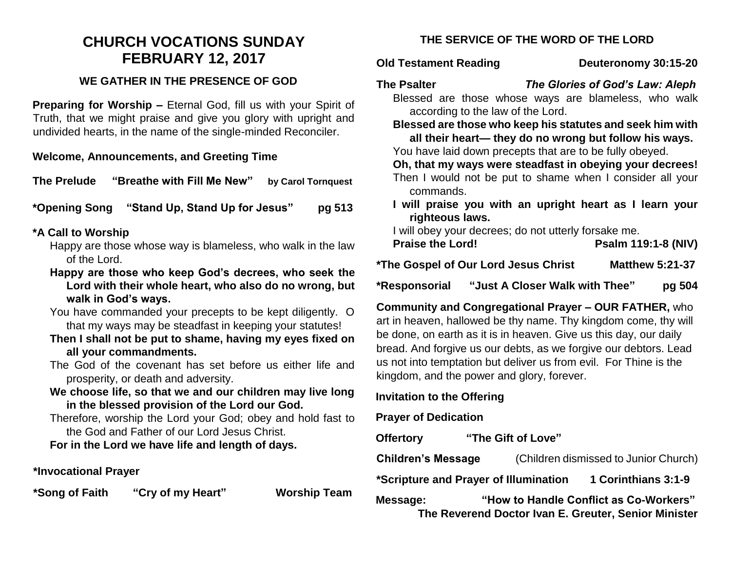# **CHURCH VOCATIONS SUNDAY FEBRUARY 12, 2017**

#### **WE GATHER IN THE PRESENCE OF GOD**

**Preparing for Worship –** Eternal God, fill us with your Spirit of Truth, that we might praise and give you glory with upright and undivided hearts, in the name of the single-minded Reconciler.

#### **Welcome, Announcements, and Greeting Time**

**The Prelude "Breathe with Fill Me New" by Carol Tornquest**

**\*Opening Song "Stand Up, Stand Up for Jesus" pg 513**

#### **\*A Call to Worship**

- Happy are those whose way is blameless, who walk in the law of the Lord.
- **Happy are those who keep God's decrees, who seek the Lord with their whole heart, who also do no wrong, but walk in God's ways.**
- You have commanded your precepts to be kept diligently. O that my ways may be steadfast in keeping your statutes!
- **Then I shall not be put to shame, having my eyes fixed on all your commandments.**
- The God of the covenant has set before us either life and prosperity, or death and adversity.
- **We choose life, so that we and our children may live long in the blessed provision of the Lord our God.**
- Therefore, worship the Lord your God; obey and hold fast to the God and Father of our Lord Jesus Christ.

**For in the Lord we have life and length of days.**

#### **\*Invocational Prayer**

**\*Song of Faith "Cry of my Heart" Worship Team**

## **THE SERVICE OF THE WORD OF THE LORD**

#### **Old Testament Reading Deuteronomy 30:15-20**

**The Psalter** *The Glories of God's Law: Aleph*

Blessed are those whose ways are blameless, who walk according to the law of the Lord.

**Blessed are those who keep his statutes and seek him with all their heart— they do no wrong but follow his ways.**

You have laid down precepts that are to be fully obeyed.

**Oh, that my ways were steadfast in obeying your decrees!**

- Then I would not be put to shame when I consider all your commands.
- **I will praise you with an upright heart as I learn your righteous laws.**

I will obey your decrees; do not utterly forsake me.

**Praise the Lord!** Psalm 119:1-8 **(NIV)** 

**\*The Gospel of Our Lord Jesus Christ Matthew 5:21-37**

**\*Responsorial "Just A Closer Walk with Thee" pg 504**

**Community and Congregational Prayer – OUR FATHER,** who art in heaven, hallowed be thy name. Thy kingdom come, thy will be done, on earth as it is in heaven. Give us this day, our daily bread. And forgive us our debts, as we forgive our debtors. Lead us not into temptation but deliver us from evil. For Thine is the kingdom, and the power and glory, forever.

#### **Invitation to the Offering**

### **Prayer of Dedication**

**Offertory "The Gift of Love" Children's Message** (Children dismissed to Junior Church) **\*Scripture and Prayer of Illumination 1 Corinthians 3:1-9 Message: "How to Handle Conflict as Co-Workers"**

**The Reverend Doctor Ivan E. Greuter, Senior Minister**